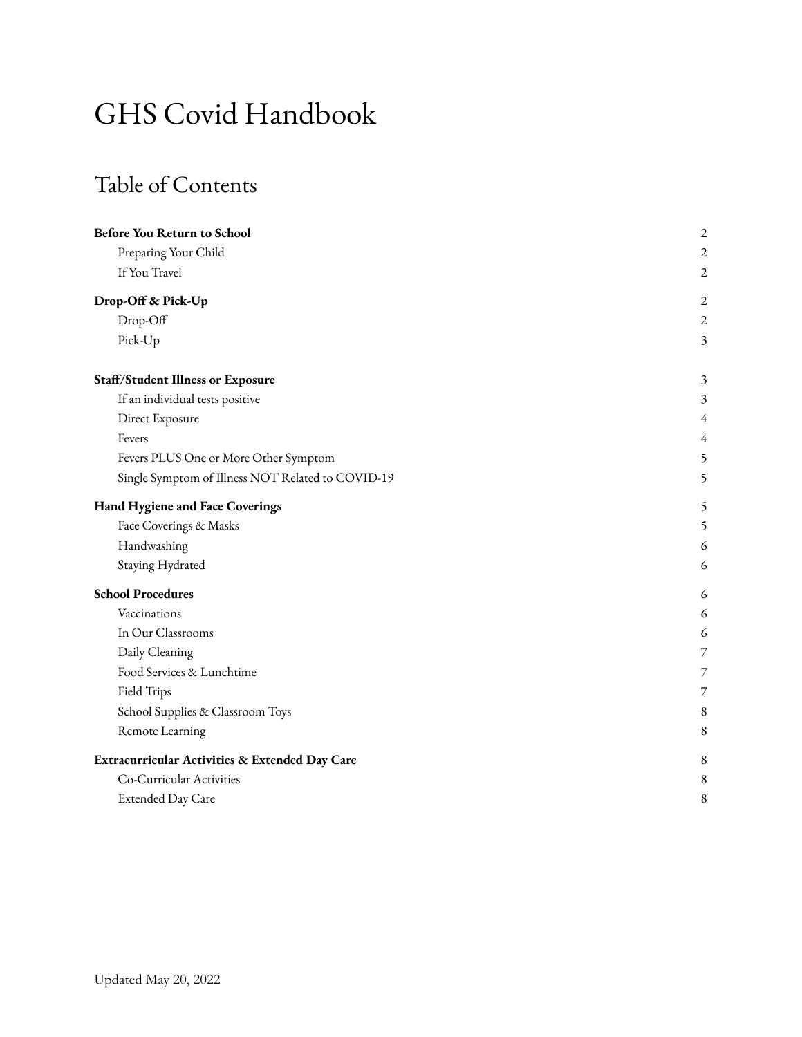# GHS Covid Handbook

## Table of Contents

| <b>Before You Return to School</b>                | $\overline{c}$           |
|---------------------------------------------------|--------------------------|
| Preparing Your Child                              | $\overline{c}$           |
| If You Travel                                     | $\overline{2}$           |
| Drop-Off & Pick-Up                                | 2                        |
| Drop-Off                                          | $\overline{c}$           |
| Pick-Up                                           | 3                        |
| <b>Staff/Student Illness or Exposure</b>          | $\mathfrak{Z}$           |
| If an individual tests positive                   | 3                        |
| Direct Exposure                                   | 4                        |
| Fevers                                            | 4                        |
| Fevers PLUS One or More Other Symptom             | 5                        |
| Single Symptom of Illness NOT Related to COVID-19 | 5                        |
| Hand Hygiene and Face Coverings                   | 5                        |
| Face Coverings & Masks                            | 5                        |
| Handwashing                                       | 6                        |
| Staying Hydrated                                  | 6                        |
| <b>School Procedures</b>                          | 6                        |
| Vaccinations                                      | 6                        |
| In Our Classrooms                                 | 6                        |
| Daily Cleaning                                    | 7                        |
| Food Services & Lunchtime                         | $\overline{\phantom{a}}$ |
| Field Trips                                       | $\overline{7}$           |
| School Supplies & Classroom Toys                  | 8                        |
| Remote Learning                                   | 8                        |
| Extracurricular Activities & Extended Day Care    | 8                        |
| Co-Curricular Activities                          | 8                        |
| Extended Day Care                                 | 8                        |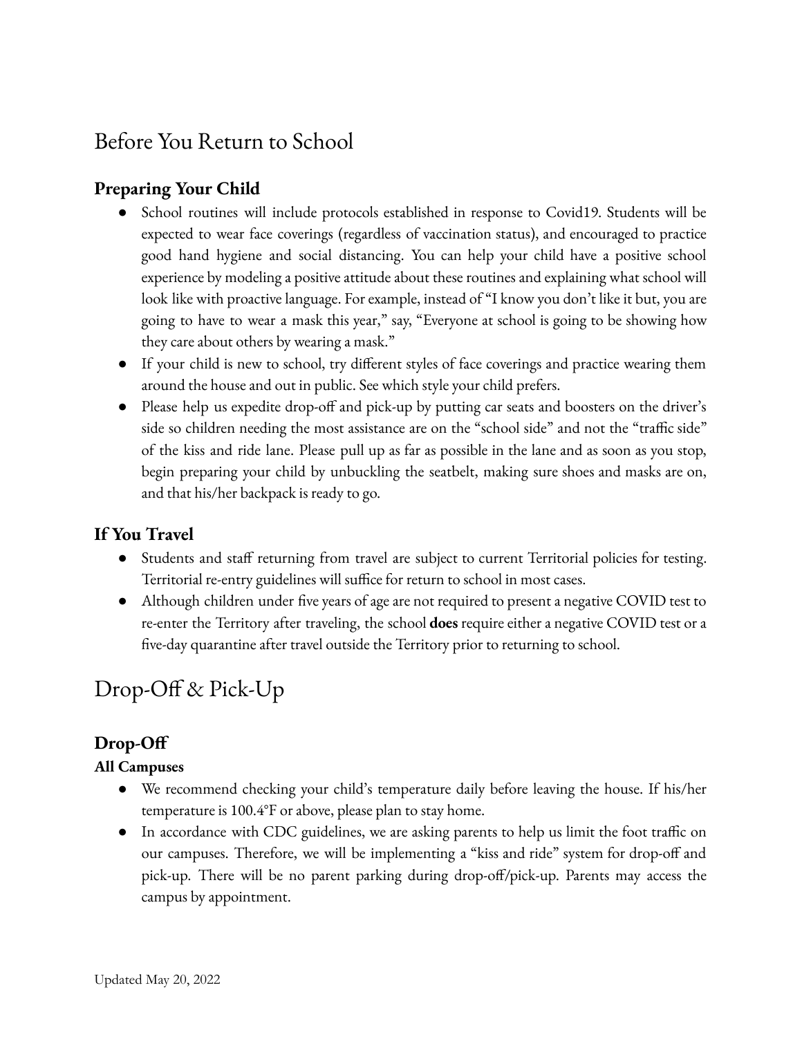## Before You Return to School

## <span id="page-1-0"></span>**Preparing Your Child**

- School routines will include protocols established in response to Covid19. Students will be expected to wear face coverings (regardless of vaccination status), and encouraged to practice good hand hygiene and social distancing. You can help your child have a positive school experience by modeling a positive attitude about these routines and explaining what school will look like with proactive language. For example, instead of "I know you don't like it but, you are going to have to wear a mask this year," say, "Everyone at school is going to be showing how they care about others by wearing a mask."
- If your child is new to school, try different styles of face coverings and practice wearing them around the house and out in public. See which style your child prefers.
- Please help us expedite drop-off and pick-up by putting car seats and boosters on the driver's side so children needing the most assistance are on the "school side" and not the "traffic side" of the kiss and ride lane. Please pull up as far as possible in the lane and as soon as you stop, begin preparing your child by unbuckling the seatbelt, making sure shoes and masks are on, and that his/her backpack is ready to go.

## **If You Travel**

- Students and staff returning from travel are subject to current Territorial policies for testing. Territorial re-entry guidelines will suffice for return to school in most cases.
- Although children under five years of age are not required to present a negative COVID test to re-enter the Territory after traveling, the school **does** require either a negative COVID test or a five-day quarantine after travel outside the Territory prior to returning to school.

## <span id="page-1-1"></span>Drop-Off & Pick-Up

## <span id="page-1-2"></span>**Drop-Off**

#### **All Campuses**

- We recommend checking your child's temperature daily before leaving the house. If his/her temperature is 100.4°F or above, please plan to stay home.
- In accordance with CDC guidelines, we are asking parents to help us limit the foot traffic on our campuses. Therefore, we will be implementing a "kiss and ride" system for drop-off and pick-up. There will be no parent parking during drop-off/pick-up. Parents may access the campus by appointment.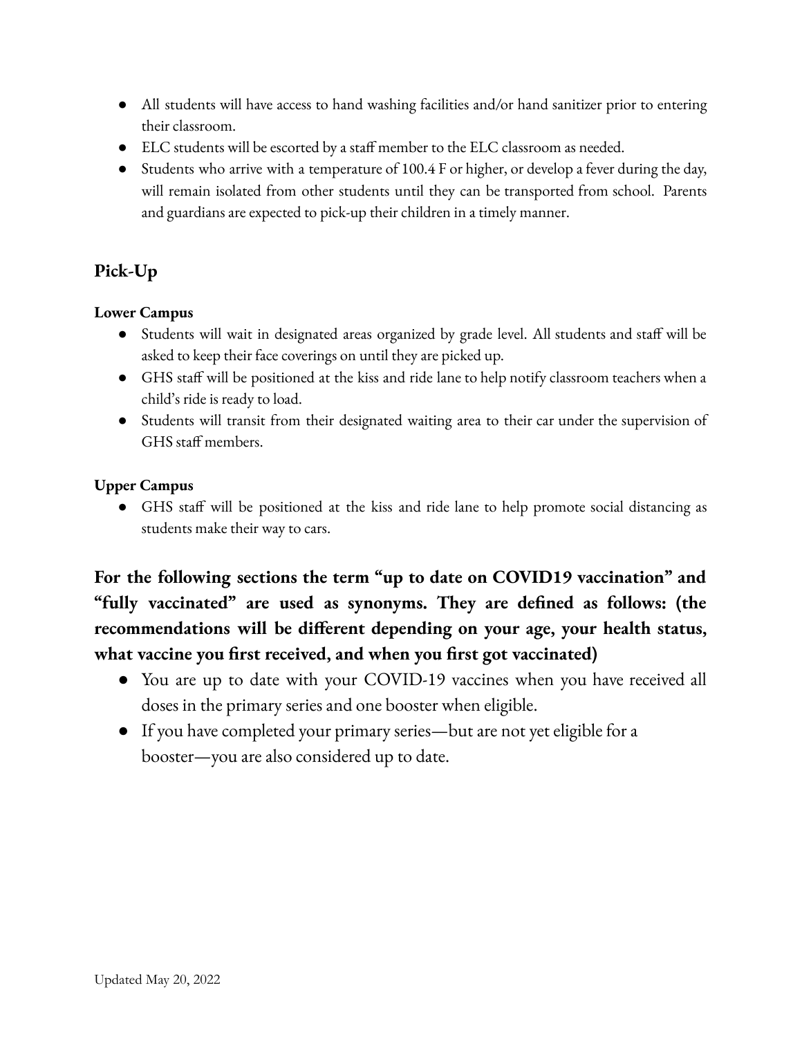- All students will have access to hand washing facilities and/or hand sanitizer prior to entering their classroom.
- ELC students will be escorted by a staff member to the ELC classroom as needed.
- Students who arrive with a temperature of 100.4 F or higher, or develop a fever during the day, will remain isolated from other students until they can be transported from school. Parents and guardians are expected to pick-up their children in a timely manner.

## **Pick-Up**

## **Lower Campus**

- Students will wait in designated areas organized by grade level. All students and staff will be asked to keep their face coverings on until they are picked up.
- GHS staff will be positioned at the kiss and ride lane to help notify classroom teachers when a child's ride is ready to load.
- Students will transit from their designated waiting area to their car under the supervision of GHS staff members.

## **Upper Campus**

● GHS staff will be positioned at the kiss and ride lane to help promote social distancing as students make their way to cars.

**For the following sections the term "up to date on COVID19 vaccination" and "fully vaccinated" are used as synonyms. They are defined as follows: (the recommendations will be different depending on your age, your health status, what vaccine you first received, and when you first got vaccinated)**

- You are up to date with your COVID-19 vaccines when you have received all doses in the primary series and one booster when eligible.
- If you have completed your primary series—but are not yet eligible for a booster—you are also considered up to date.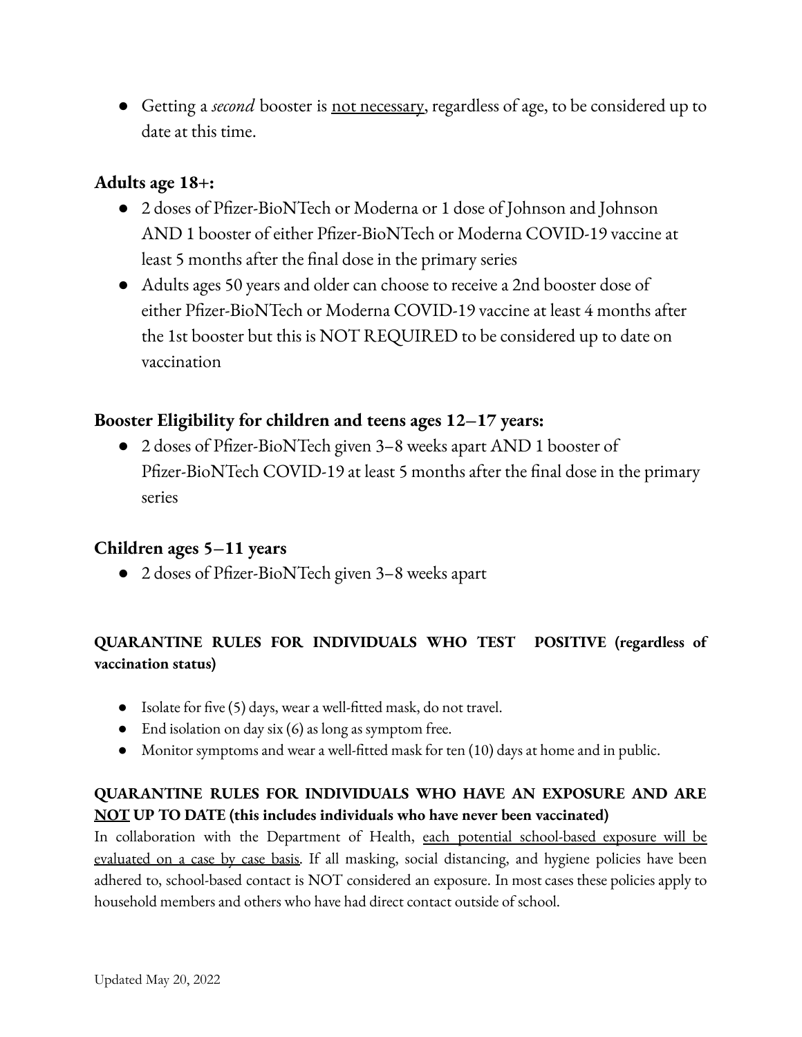● Getting a *second* booster is not necessary, regardless of age, to be considered up to date at this time.

## **Adults age 18+:**

- 2 doses of Pfizer-BioNTech or Moderna or 1 dose of Johnson and Johnson AND 1 booster of either Pfizer-BioNTech or Moderna COVID-19 vaccine at least 5 months after the final dose in the primary series
- Adults ages 50 years and older can choose to receive a 2nd booster dose of either Pfizer-BioNTech or Moderna COVID-19 vaccine at least 4 months after the 1st booster but this is NOT REQUIRED to be considered up to date on vaccination

## **Booster Eligibility for children and teens ages 12–17 years:**

● 2 doses of Pfizer-BioNTech given 3–8 weeks apart AND 1 booster of Pfizer-BioNTech COVID-19 at least 5 months after the final dose in the primary series

## **Children ages 5–11 years**

● 2 doses of Pfizer-BioNTech given 3–8 weeks apart

## **QUARANTINE RULES FOR INDIVIDUALS WHO TEST POSITIVE (regardless of vaccination status)**

- Isolate for five (5) days, wear a well-fitted mask, do not travel.
- End isolation on day six (6) as long as symptom free.
- Monitor symptoms and wear a well-fitted mask for ten (10) days at home and in public.

## **QUARANTINE RULES FOR INDIVIDUALS WHO HAVE AN EXPOSURE AND ARE NOT UP TO DATE (this includes individuals who have never been vaccinated)**

In collaboration with the Department of Health, each potential school-based exposure will be evaluated on a case by case basis. If all masking, social distancing, and hygiene policies have been adhered to, school-based contact is NOT considered an exposure. In most cases these policies apply to household members and others who have had direct contact outside of school.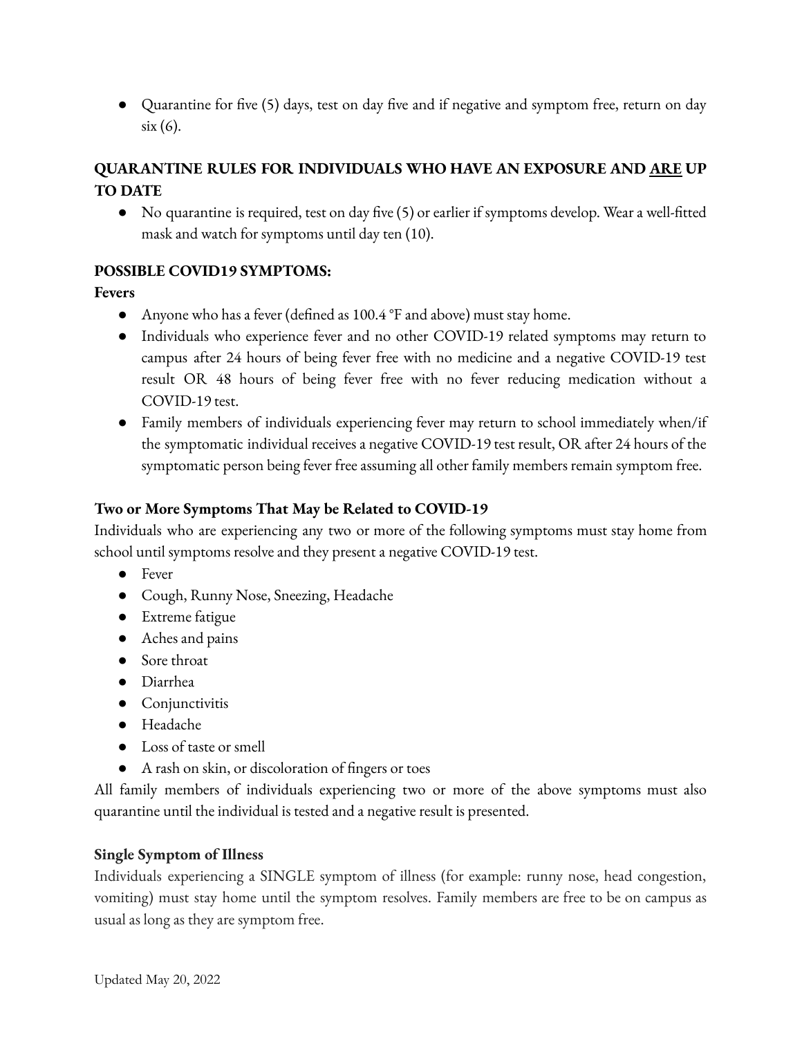**●** Quarantine for five (5) days, test on day five and if negative and symptom free, return on day six (6).

## **QUARANTINE RULES FOR INDIVIDUALS WHO HAVE AN EXPOSURE AND ARE UP TO DATE**

● No quarantine is required, test on day five (5) or earlier if symptoms develop. Wear a well-fitted mask and watch for symptoms until day ten (10).

#### **POSSIBLE COVID19 SYMPTOMS:**

#### **Fevers**

- Anyone who has a fever (defined as 100.4 °F and above) must stay home.
- Individuals who experience fever and no other COVID-19 related symptoms may return to campus after 24 hours of being fever free with no medicine and a negative COVID-19 test result OR 48 hours of being fever free with no fever reducing medication without a COVID-19 test.
- Family members of individuals experiencing fever may return to school immediately when/if the symptomatic individual receives a negative COVID-19 test result, OR after 24 hours of the symptomatic person being fever free assuming all other family members remain symptom free.

#### **Two or More Symptoms That May be Related to COVID-19**

Individuals who are experiencing any two or more of the following symptoms must stay home from school until symptoms resolve and they present a negative COVID-19 test.

- Fever
- Cough, Runny Nose, Sneezing, Headache
- Extreme fatigue
- Aches and pains
- Sore throat
- Diarrhea
- Conjunctivitis
- Headache
- Loss of taste or smell
- A rash on skin, or discoloration of fingers or toes

All family members of individuals experiencing two or more of the above symptoms must also quarantine until the individual is tested and a negative result is presented.

#### **Single Symptom of Illness**

Individuals experiencing a SINGLE symptom of illness (for example: runny nose, head congestion, vomiting) must stay home until the symptom resolves. Family members are free to be on campus as usual as long as they are symptom free.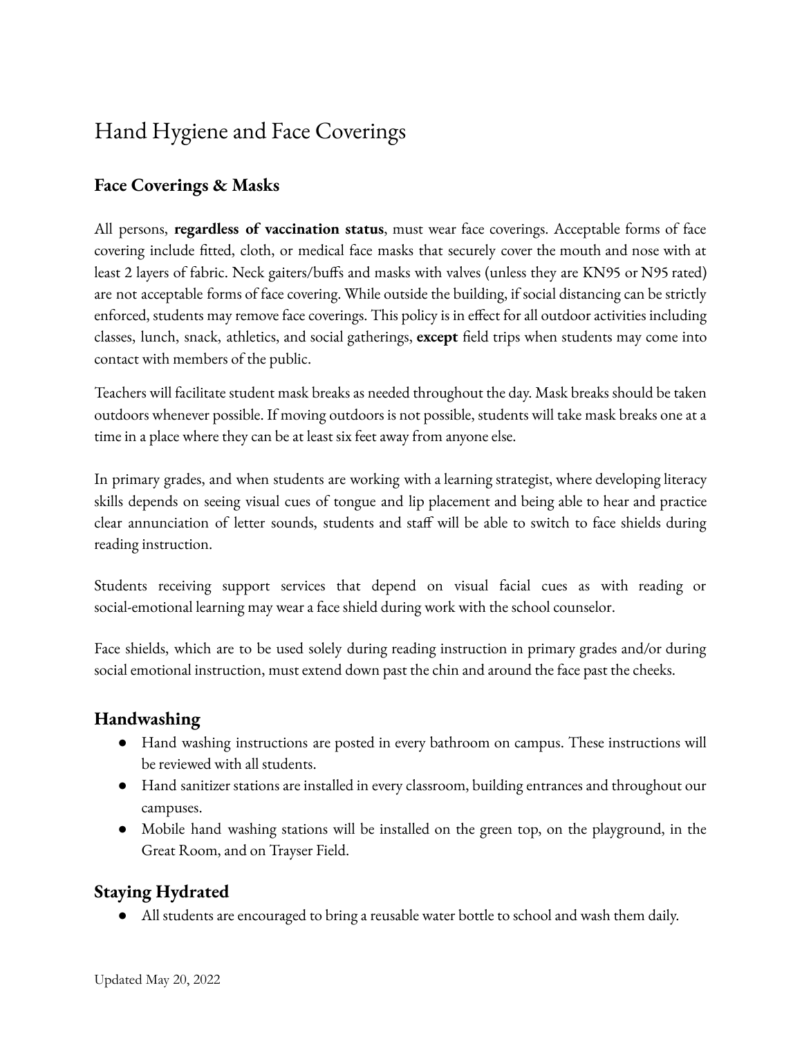## Hand Hygiene and Face Coverings

## <span id="page-5-0"></span>**Face Coverings & Masks**

All persons, **regardless of vaccination status**, must wear face coverings. Acceptable forms of face covering include fitted, cloth, or medical face masks that securely cover the mouth and nose with at least 2 layers of fabric. Neck gaiters/buffs and masks with valves (unless they are KN95 or N95 rated) are not acceptable forms of face covering. While outside the building, if social distancing can be strictly enforced, students may remove face coverings. This policy is in effect for all outdoor activities including classes, lunch, snack, athletics, and social gatherings, **except** field trips when students may come into contact with members of the public.

Teachers will facilitate student mask breaks as needed throughout the day. Mask breaks should be taken outdoors whenever possible. If moving outdoors is not possible, students will take mask breaks one at a time in a place where they can be at least six feet away from anyone else.

In primary grades, and when students are working with a learning strategist, where developing literacy skills depends on seeing visual cues of tongue and lip placement and being able to hear and practice clear annunciation of letter sounds, students and staff will be able to switch to face shields during reading instruction.

Students receiving support services that depend on visual facial cues as with reading or social-emotional learning may wear a face shield during work with the school counselor.

Face shields, which are to be used solely during reading instruction in primary grades and/or during social emotional instruction, must extend down past the chin and around the face past the cheeks.

## <span id="page-5-1"></span>**Handwashing**

- Hand washing instructions are posted in every bathroom on campus. These instructions will be reviewed with all students.
- Hand sanitizer stations are installed in every classroom, building entrances and throughout our campuses.
- Mobile hand washing stations will be installed on the green top, on the playground, in the Great Room, and on Trayser Field.

## <span id="page-5-2"></span>**Staying Hydrated**

● All students are encouraged to bring a reusable water bottle to school and wash them daily.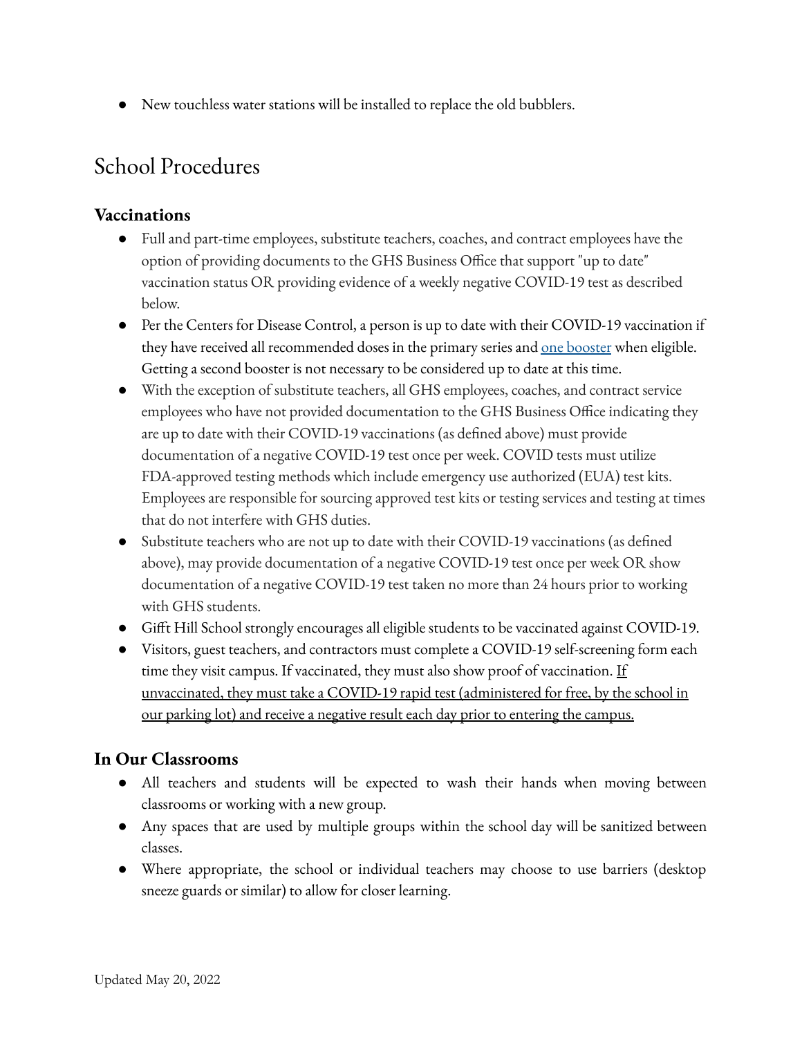● New touchless water stations will be installed to replace the old bubblers.

## <span id="page-6-0"></span>School Procedures

#### **Vaccinations**

- Full and part-time employees, substitute teachers, coaches, and contract employees have the option of providing documents to the GHS Business Office that support "up to date" vaccination status OR providing evidence of a weekly negative COVID-19 test as described below.
- Per the Centers for Disease Control, a person is up to date with their COVID-19 vaccination if they have received all recommended doses in the primary series and one [booster](https://www.cdc.gov/coronavirus/2019-ncov/vaccines/booster-shot.html) when eligible. Getting a second booster is not necessary to be considered up to date at this time.
- With the exception of substitute teachers, all GHS employees, coaches, and contract service employees who have not provided documentation to the GHS Business Office indicating they are up to date with their COVID-19 vaccinations (as defined above) must provide documentation of a negative COVID-19 test once per week. COVID tests must utilize FDA-approved testing methods which include emergency use authorized (EUA) test kits. Employees are responsible for sourcing approved test kits or testing services and testing at times that do not interfere with GHS duties.
- Substitute teachers who are not up to date with their COVID-19 vaccinations (as defined above), may provide documentation of a negative COVID-19 test once per week OR show documentation of a negative COVID-19 test taken no more than 24 hours prior to working with GHS students.
- Gifft Hill School strongly encourages all eligible students to be vaccinated against COVID-19.
- Visitors, guest teachers, and contractors must complete a COVID-19 self-screening form each time they visit campus. If vaccinated, they must also show proof of vaccination. If unvaccinated, they must take a COVID-19 rapid test (administered for free, by the school in our parking lot) and receive a negative result each day prior to entering the campus.

## **In Our Classrooms**

- All teachers and students will be expected to wash their hands when moving between classrooms or working with a new group.
- Any spaces that are used by multiple groups within the school day will be sanitized between classes.
- Where appropriate, the school or individual teachers may choose to use barriers (desktop sneeze guards or similar) to allow for closer learning.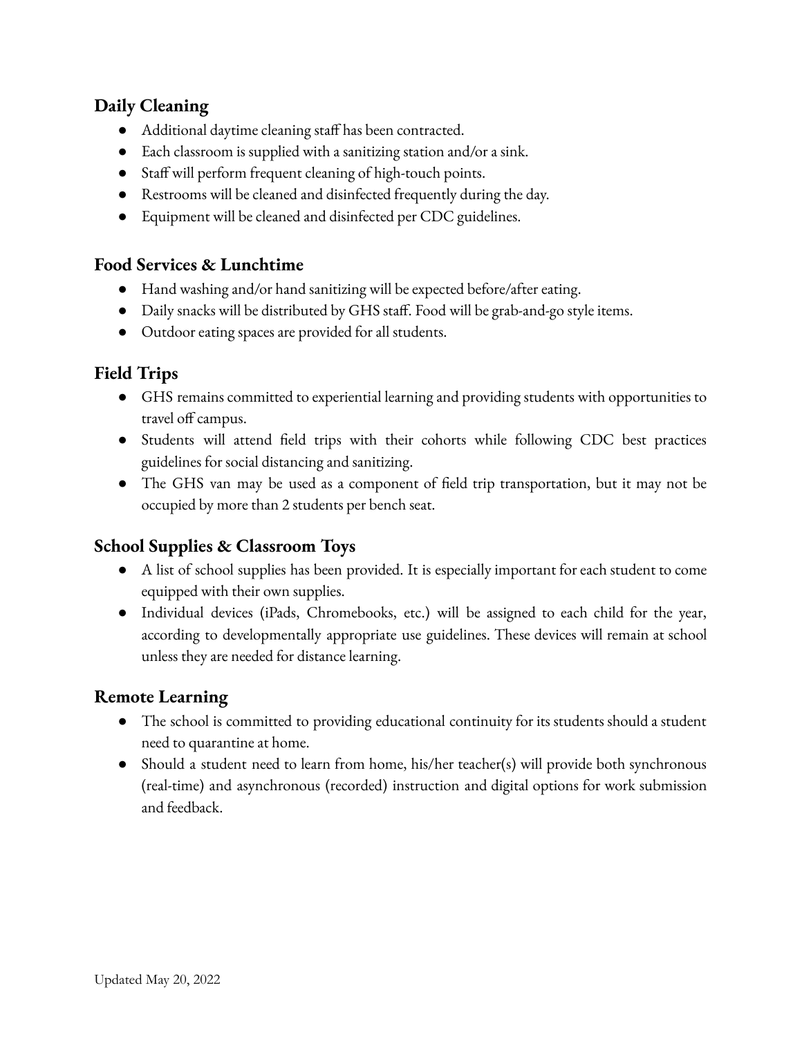## **Daily Cleaning**

- Additional daytime cleaning staff has been contracted.
- Each classroom is supplied with a sanitizing station and/or a sink.
- Staff will perform frequent cleaning of high-touch points.
- Restrooms will be cleaned and disinfected frequently during the day.
- Equipment will be cleaned and disinfected per CDC guidelines.

## **Food Services & Lunchtime**

- Hand washing and/or hand sanitizing will be expected before/after eating.
- Daily snacks will be distributed by GHS staff. Food will be grab-and-go style items.
- Outdoor eating spaces are provided for all students.

## **Field Trips**

- GHS remains committed to experiential learning and providing students with opportunities to travel off campus.
- Students will attend field trips with their cohorts while following CDC best practices guidelines for social distancing and sanitizing.
- The GHS van may be used as a component of field trip transportation, but it may not be occupied by more than 2 students per bench seat.

## **School Supplies & Classroom Toys**

- A list of school supplies has been provided. It is especially important for each student to come equipped with their own supplies.
- Individual devices (iPads, Chromebooks, etc.) will be assigned to each child for the year, according to developmentally appropriate use guidelines. These devices will remain at school unless they are needed for distance learning.

## **Remote Learning**

- The school is committed to providing educational continuity for its students should a student need to quarantine at home.
- Should a student need to learn from home, his/her teacher(s) will provide both synchronous (real-time) and asynchronous (recorded) instruction and digital options for work submission and feedback.